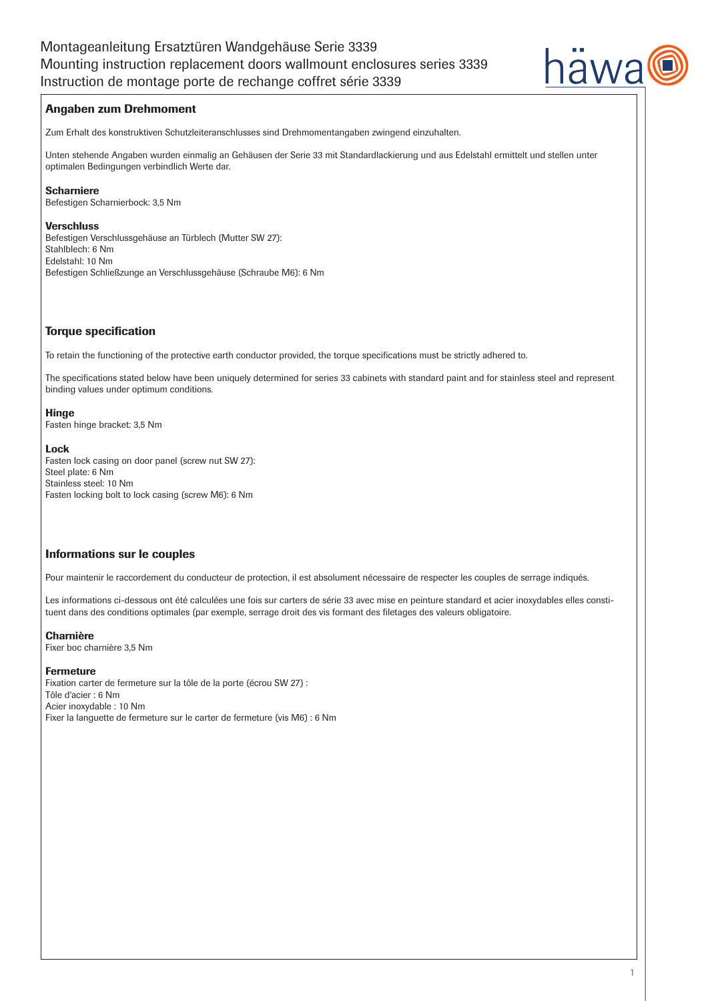

# Angaben zum Drehmoment

Zum Erhalt des konstruktiven Schutzleiteranschlusses sind Drehmomentangaben zwingend einzuhalten.

Unten stehende Angaben wurden einmalig an Gehäusen der Serie 33 mit Standardlackierung und aus Edelstahl ermittelt und stellen unter optimalen Bedingungen verbindlich Werte dar.

# Scharniere

Befestigen Scharnierbock: 3,5 Nm

## **Verschluss**

Befestigen Verschlussgehäuse an Türblech (Mutter SW 27): Stahlblech: 6 Nm Edelstahl: 10 Nm Befestigen Schließzunge an Verschlussgehäuse (Schraube M6): 6 Nm

# Torque specification

To retain the functioning of the protective earth conductor provided, the torque specifications must be strictly adhered to.

The specifications stated below have been uniquely determined for series 33 cabinets with standard paint and for stainless steel and represent binding values under optimum conditions.

# **Hinge**

Fasten hinge bracket: 3,5 Nm

# Lock

Fasten lock casing on door panel (screw nut SW 27): Steel plate: 6 Nm Stainless steel: 10 Nm Fasten locking bolt to lock casing (screw M6): 6 Nm

# Informations sur le couples

Pour maintenir le raccordement du conducteur de protection, il est absolument nécessaire de respecter les couples de serrage indiqués.

Les informations ci-dessous ont été calculées une fois sur carters de série 33 avec mise en peinture standard et acier inoxydables elles constituent dans des conditions optimales (par exemple, serrage droit des vis formant des filetages des valeurs obligatoire.

## Charnière

Fixer boc charnière 3,5 Nm

## Fermeture

Fixation carter de fermeture sur la tôle de la porte (écrou SW 27) : Tôle d'acier : 6 Nm Acier inoxydable : 10 Nm Fixer la languette de fermeture sur le carter de fermeture (vis M6) : 6 Nm